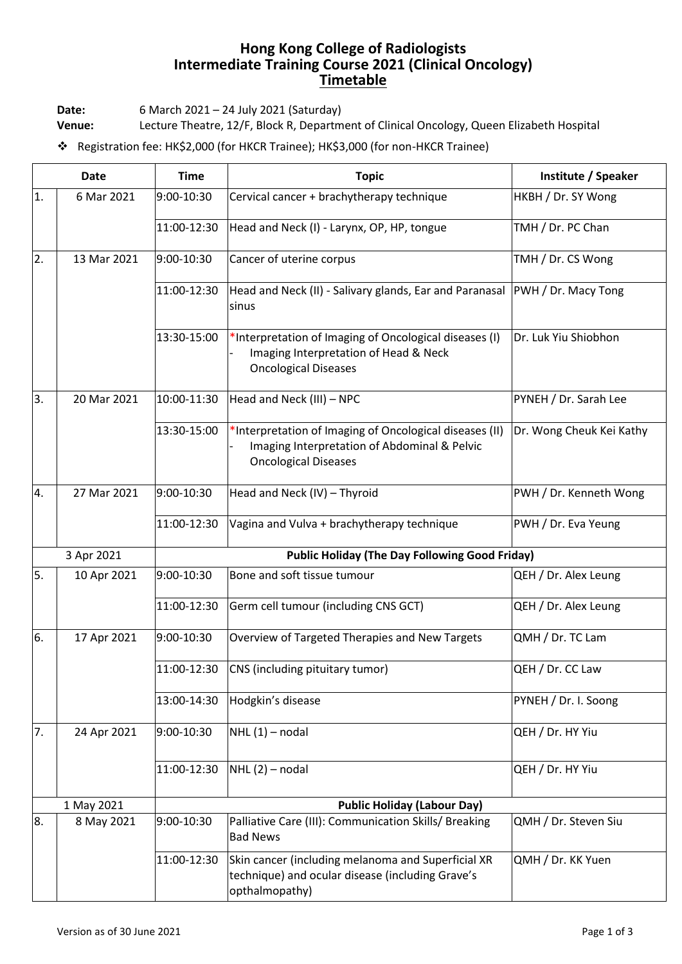## **Hong Kong College of Radiologists Intermediate Training Course 2021 (Clinical Oncology) Timetable**

**Date:** 6 March 2021 – 24 July 2021 (Saturday)

**Venue:** Lecture Theatre, 12/F, Block R, Department of Clinical Oncology, Queen Elizabeth Hospital

❖ Registration fee: HK\$2,000 (for HKCR Trainee); HK\$3,000 (for non-HKCR Trainee)

| <b>Date</b>      |             | <b>Time</b>                                           | <b>Topic</b>                                                                                                                           | Institute / Speaker      |  |
|------------------|-------------|-------------------------------------------------------|----------------------------------------------------------------------------------------------------------------------------------------|--------------------------|--|
| 1.               | 6 Mar 2021  | 9:00-10:30                                            | Cervical cancer + brachytherapy technique                                                                                              | HKBH / Dr. SY Wong       |  |
|                  |             | 11:00-12:30                                           | Head and Neck (I) - Larynx, OP, HP, tongue                                                                                             | TMH / Dr. PC Chan        |  |
| 2.               | 13 Mar 2021 | 9:00-10:30                                            | Cancer of uterine corpus                                                                                                               | TMH / Dr. CS Wong        |  |
|                  |             | 11:00-12:30                                           | Head and Neck (II) - Salivary glands, Ear and Paranasal<br>sinus                                                                       | PWH / Dr. Macy Tong      |  |
|                  |             | 13:30-15:00                                           | *Interpretation of Imaging of Oncological diseases (I)<br>Imaging Interpretation of Head & Neck<br><b>Oncological Diseases</b>         | Dr. Luk Yiu Shiobhon     |  |
| 3.               | 20 Mar 2021 | 10:00-11:30                                           | Head and Neck (III) - NPC                                                                                                              | PYNEH / Dr. Sarah Lee    |  |
|                  |             | 13:30-15:00                                           | *Interpretation of Imaging of Oncological diseases (II)<br>Imaging Interpretation of Abdominal & Pelvic<br><b>Oncological Diseases</b> | Dr. Wong Cheuk Kei Kathy |  |
| $\overline{4}$ . | 27 Mar 2021 | 9:00-10:30                                            | Head and Neck (IV) - Thyroid                                                                                                           | PWH / Dr. Kenneth Wong   |  |
|                  |             | 11:00-12:30                                           | Vagina and Vulva + brachytherapy technique                                                                                             | PWH / Dr. Eva Yeung      |  |
| 3 Apr 2021       |             | <b>Public Holiday (The Day Following Good Friday)</b> |                                                                                                                                        |                          |  |
| 5.               | 10 Apr 2021 | 9:00-10:30                                            | Bone and soft tissue tumour                                                                                                            | QEH / Dr. Alex Leung     |  |
|                  |             | 11:00-12:30                                           | Germ cell tumour (including CNS GCT)                                                                                                   | QEH / Dr. Alex Leung     |  |
| 6.               | 17 Apr 2021 | 9:00-10:30                                            | Overview of Targeted Therapies and New Targets                                                                                         | QMH / Dr. TC Lam         |  |
|                  |             | 11:00-12:30                                           | CNS (including pituitary tumor)                                                                                                        | QEH / Dr. CC Law         |  |
|                  |             | 13:00-14:30                                           | Hodgkin's disease                                                                                                                      | PYNEH / Dr. I. Soong     |  |
| 7.               | 24 Apr 2021 | 9:00-10:30                                            | $NHL(1)$ – nodal                                                                                                                       | QEH / Dr. HY Yiu         |  |
|                  |             | 11:00-12:30                                           | $NHL(2)$ – nodal                                                                                                                       | QEH / Dr. HY Yiu         |  |
|                  | 1 May 2021  | <b>Public Holiday (Labour Day)</b>                    |                                                                                                                                        |                          |  |
| 8.               | 8 May 2021  | 9:00-10:30                                            | Palliative Care (III): Communication Skills/ Breaking<br><b>Bad News</b>                                                               | QMH / Dr. Steven Siu     |  |
|                  |             | 11:00-12:30                                           | Skin cancer (including melanoma and Superficial XR<br>technique) and ocular disease (including Grave's<br>opthalmopathy)               | QMH / Dr. KK Yuen        |  |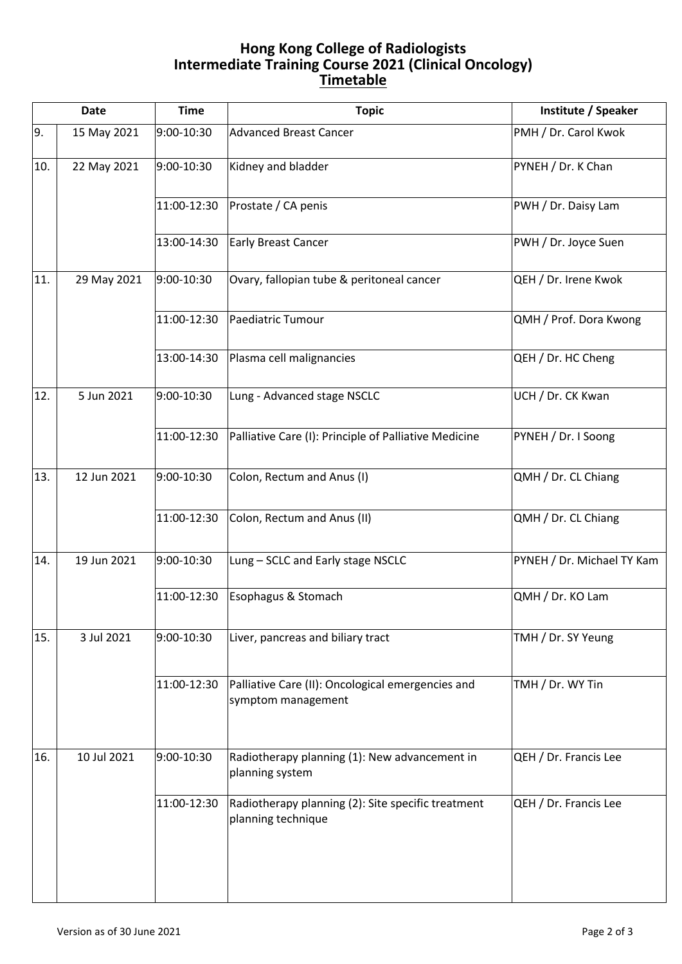## **Hong Kong College of Radiologists Intermediate Training Course 2021 (Clinical Oncology) Timetable**

| <b>Date</b> |             | <b>Time</b> | <b>Topic</b>                                                             | Institute / Speaker        |
|-------------|-------------|-------------|--------------------------------------------------------------------------|----------------------------|
| 9.          | 15 May 2021 | 9:00-10:30  | <b>Advanced Breast Cancer</b>                                            | PMH / Dr. Carol Kwok       |
| 10.         | 22 May 2021 | 9:00-10:30  | Kidney and bladder                                                       | PYNEH / Dr. K Chan         |
|             |             | 11:00-12:30 | Prostate / CA penis                                                      | PWH / Dr. Daisy Lam        |
|             |             | 13:00-14:30 | <b>Early Breast Cancer</b>                                               | PWH / Dr. Joyce Suen       |
| 11.         | 29 May 2021 | 9:00-10:30  | Ovary, fallopian tube & peritoneal cancer                                | QEH / Dr. Irene Kwok       |
|             |             | 11:00-12:30 | Paediatric Tumour                                                        | QMH / Prof. Dora Kwong     |
|             |             | 13:00-14:30 | Plasma cell malignancies                                                 | QEH / Dr. HC Cheng         |
| 12.         | 5 Jun 2021  | 9:00-10:30  | Lung - Advanced stage NSCLC                                              | UCH / Dr. CK Kwan          |
|             |             | 11:00-12:30 | Palliative Care (I): Principle of Palliative Medicine                    | PYNEH / Dr. I Soong        |
| 13.         | 12 Jun 2021 | 9:00-10:30  | Colon, Rectum and Anus (I)                                               | QMH / Dr. CL Chiang        |
|             |             | 11:00-12:30 | Colon, Rectum and Anus (II)                                              | QMH / Dr. CL Chiang        |
| 14.         | 19 Jun 2021 | 9:00-10:30  | Lung - SCLC and Early stage NSCLC                                        | PYNEH / Dr. Michael TY Kam |
|             |             | 11:00-12:30 | Esophagus & Stomach                                                      | QMH / Dr. KO Lam           |
| 15.         | 3 Jul 2021  | 9:00-10:30  | Liver, pancreas and biliary tract                                        | TMH / Dr. SY Yeung         |
|             |             | 11:00-12:30 | Palliative Care (II): Oncological emergencies and<br>symptom management  | TMH / Dr. WY Tin           |
| 16.         | 10 Jul 2021 | 9:00-10:30  | Radiotherapy planning (1): New advancement in<br>planning system         | QEH / Dr. Francis Lee      |
|             |             | 11:00-12:30 | Radiotherapy planning (2): Site specific treatment<br>planning technique | QEH / Dr. Francis Lee      |